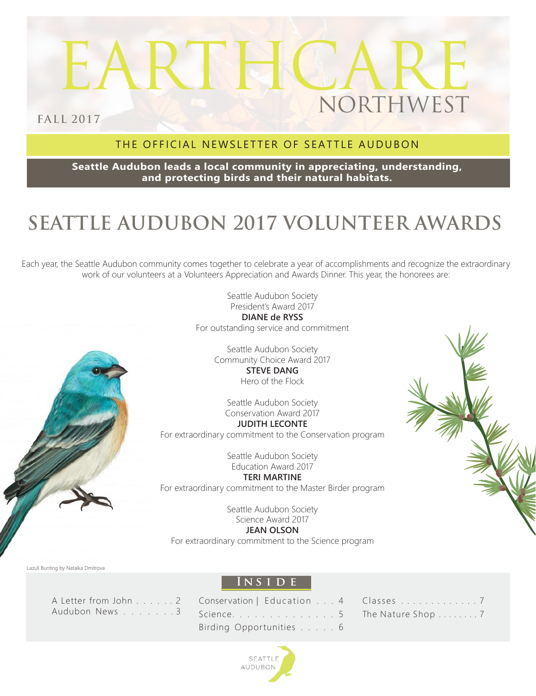# EARTHCARE NORTHWEST

**FALL 2017**

### THE OFFICIAL NEWSLETTER OF SEATTLE AUDUBON

**Seattle Audubon leads a local community in appreciating, understanding, and protecting birds and their natural habitats.**

# **SEATTLE AUDUBON 2017 VOLUNTEER AWARDS**

Each year, the Seattle Audubon community comes together to celebrate a year of accomplishments and recognize the extraordinary work of our volunteers at a Volunteers Appreciation and Awards Dinner. This year, the honorees are:



Seattle Audubon Society President's Award 2017 **DIANE de RYSS** For outstanding service and commitment

> Seattle Audubon Society Community Choice Award 2017 **STEVE DANG** Hero of the Flock

Seattle Audubon Society Conservation Award 2017 **JUDITH LECONTE** For extraordinary commitment to the Conservation program

> Seattle Audubon Society Education Award 2017

**TERI MARTINE** For extraordinary commitment to the Master Birder program

> Seattle Audubon Society Science Award 2017

> > **JEAN OLSON**

For extraordinary commitment to the Science program



### **Ins i d e**

A Letter from John . . . . . . 2 Audubon News . . . . . . . 3

| Conservation   Education 4 |  |  |
|----------------------------|--|--|
| Science. 5                 |  |  |
| Birding Opportunities 6    |  |  |

| Classes 7         |  |  |  |  |  |  |  |  |
|-------------------|--|--|--|--|--|--|--|--|
| The Nature Shop 7 |  |  |  |  |  |  |  |  |

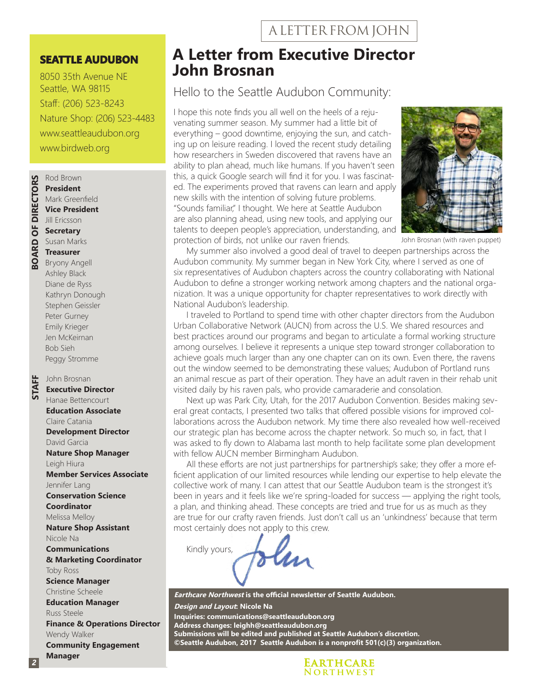#### **SEATTLE AUDUBON**

8050 35th Avenue NE Seattle, WA 98115 Staff: (206) 523-8243 Nature Shop: (206) 523-4483 www.seattleaudubon.org www.birdweb.org



#### Mark Greenfield **Vice President** Jill Ericsson **Secretary**

Susan Marks **Treasurer** Bryony Angell

Ashley Black Diane de Ryss Kathryn Donough Stephen Geissler Peter Gurney Emily Krieger Jen McKeirnan Bob Sieh Peggy Stromme

John Brosnan

**STAFF**

### **Executive Director**

Hanae Bettencourt **Education Associate** Claire Catania **Development Director** David Garcia **Nature Shop Manager** Leigh Hiura **Member Services Associate** Jennifer Lang **Conservation Science Coordinator** Melissa Melloy **Nature Shop Assistant** Nicole Na **Communications & Marketing Coordinator** Toby Ross **Science Manager** Christine Scheele **Education Manager** Russ Steele **Finance & Operations Director** Wendy Walker **Community Engagement Manager**

### **A Letter from Executive Director John Brosnan**

### Hello to the Seattle Audubon Community:

I hope this note finds you all well on the heels of a rejuvenating summer season. My summer had a little bit of everything – good downtime, enjoying the sun, and catching up on leisure reading. I loved the recent study detailing how researchers in Sweden discovered that ravens have an ability to plan ahead, much like humans. If you haven't seen this, a quick Google search will find it for you. I was fascinated. The experiments proved that ravens can learn and apply new skills with the intention of solving future problems. "Sounds familiar," I thought. We here at Seattle Audubon are also planning ahead, using new tools, and applying our talents to deepen people's appreciation, understanding, and protection of birds, not unlike our raven friends.



John Brosnan (with raven puppet)

My summer also involved a good deal of travel to deepen partnerships across the Audubon community. My summer began in New York City, where I served as one of six representatives of Audubon chapters across the country collaborating with National Audubon to define a stronger working network among chapters and the national organization. It was a unique opportunity for chapter representatives to work directly with National Audubon's leadership.

I traveled to Portland to spend time with other chapter directors from the Audubon Urban Collaborative Network (AUCN) from across the U.S. We shared resources and best practices around our programs and began to articulate a formal working structure among ourselves. I believe it represents a unique step toward stronger collaboration to achieve goals much larger than any one chapter can on its own. Even there, the ravens out the window seemed to be demonstrating these values; Audubon of Portland runs an animal rescue as part of their operation. They have an adult raven in their rehab unit visited daily by his raven pals, who provide camaraderie and consolation.

Next up was Park City, Utah, for the 2017 Audubon Convention. Besides making several great contacts, I presented two talks that offered possible visions for improved collaborations across the Audubon network. My time there also revealed how well-received our strategic plan has become across the chapter network. So much so, in fact, that I was asked to fly down to Alabama last month to help facilitate some plan development with fellow AUCN member Birmingham Audubon.

All these efforts are not just partnerships for partnership's sake; they offer a more efficient application of our limited resources while lending our expertise to help elevate the collective work of many. I can attest that our Seattle Audubon team is the strongest it's been in years and it feels like we're spring-loaded for success — applying the right tools, a plan, and thinking ahead. These concepts are tried and true for us as much as they are true for our crafty raven friends. Just don't call us an 'unkindness' because that term most certainly does not apply to this crew.

Kindly yours, len

**Earthcare Northwest is the official newsletter of Seattle Audubon. Design and Layout: Nicole Na Inquiries: communications@seattleaudubon.org Address changes: leighh@seattleaudubon.org Submissions will be edited and published at Seattle Audubon's discretion. ©Seattle Audubon, 2017 Seattle Audubon is a nonprofit 501(c)(3) organization.**

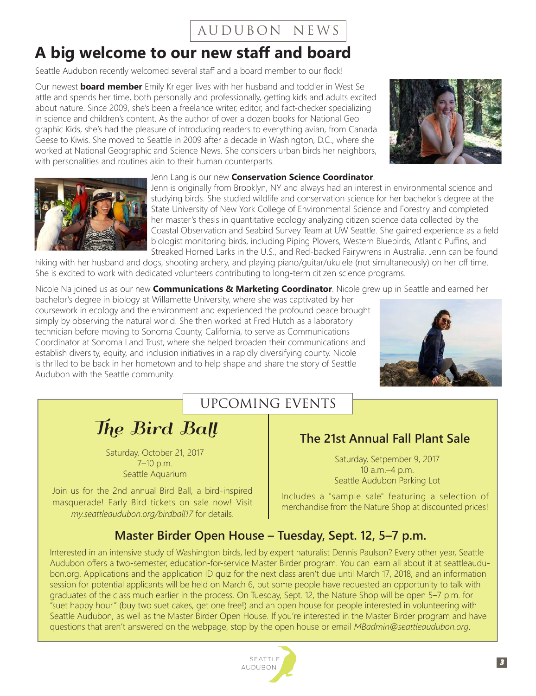### AUDUBON NEWS

### **A big welcome to our new staff and board**

Seattle Audubon recently welcomed several staff and a board member to our flock!

Our newest **board member** Emily Krieger lives with her husband and toddler in West Seattle and spends her time, both personally and professionally, getting kids and adults excited about nature. Since 2009, she's been a freelance writer, editor, and fact-checker specializing in science and children's content. As the author of over a dozen books for National Geographic Kids, she's had the pleasure of introducing readers to everything avian, from Canada Geese to Kiwis. She moved to Seattle in 2009 after a decade in Washington, D.C., where she worked at National Geographic and Science News. She considers urban birds her neighbors, with personalities and routines akin to their human counterparts.





Jenn Lang is our new **Conservation Science Coordinator**.

Jenn is originally from Brooklyn, NY and always had an interest in environmental science and studying birds. She studied wildlife and conservation science for her bachelor's degree at the State University of New York College of Environmental Science and Forestry and completed her master's thesis in quantitative ecology analyzing citizen science data collected by the Coastal Observation and Seabird Survey Team at UW Seattle. She gained experience as a field biologist monitoring birds, including Piping Plovers, Western Bluebirds, Atlantic Puffins, and Streaked Horned Larks in the U.S., and Red-backed Fairywrens in Australia. Jenn can be found

hiking with her husband and dogs, shooting archery, and playing piano/guitar/ukulele (not simultaneously) on her off time. She is excited to work with dedicated volunteers contributing to long-term citizen science programs.

Nicole Na joined us as our new **Communications & Marketing Coordinator**. Nicole grew up in Seattle and earned her

bachelor's degree in biology at Willamette University, where she was captivated by her coursework in ecology and the environment and experienced the profound peace brought simply by observing the natural world. She then worked at Fred Hutch as a laboratory technician before moving to Sonoma County, California, to serve as Communications Coordinator at Sonoma Land Trust, where she helped broaden their communications and establish diversity, equity, and inclusion initiatives in a rapidly diversifying county. Nicole is thrilled to be back in her hometown and to help shape and share the story of Seattle Audubon with the Seattle community.



### UPCOMING EVENTS

The Bird Ball

Saturday, October 21, 2017 7–10 p.m. Seattle Aquarium

Join us for the 2nd annual Bird Ball, a bird-inspired masquerade! Early Bird tickets on sale now! Visit *my.seattleaudubon.org/birdball17* for details.

### **The 21st Annual Fall Plant Sale**

Saturday, Setpember 9, 2017 10 a.m.–4 p.m. Seattle Audubon Parking Lot

Includes a "sample sale" featuring a selection of merchandise from the Nature Shop at discounted prices!

### **Master Birder Open House – Tuesday, Sept. 12, 5–7 p.m.**

Interested in an intensive study of Washington birds, led by expert naturalist Dennis Paulson? Every other year, Seattle Audubon offers a two-semester, education-for-service Master Birder program. You can learn all about it at seattleaudubon.org. Applications and the application ID quiz for the next class aren't due until March 17, 2018, and an information session for potential applicants will be held on March 6, but some people have requested an opportunity to talk with graduates of the class much earlier in the process. On Tuesday, Sept. 12, the Nature Shop will be open 5–7 p.m. for "suet happy hour" (buy two suet cakes, get one free!) and an open house for people interested in volunteering with Seattle Audubon, as well as the Master Birder Open House. If you're interested in the Master Birder program and have questions that aren't answered on the webpage, stop by the open house or email *MBadmin@seattleaudubon.org*.

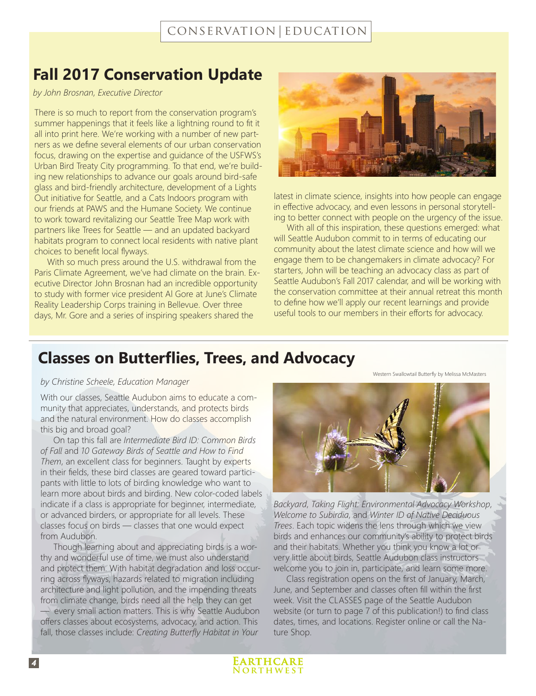### **Fall 2017 Conservation Update**

*by John Brosnan, Executive Director*

There is so much to report from the conservation program's summer happenings that it feels like a lightning round to fit it all into print here. We're working with a number of new partners as we define several elements of our urban conservation focus, drawing on the expertise and guidance of the USFWS's Urban Bird Treaty City programming. To that end, we're building new relationships to advance our goals around bird-safe glass and bird-friendly architecture, development of a Lights Out initiative for Seattle, and a Cats Indoors program with our friends at PAWS and the Humane Society. We continue to work toward revitalizing our Seattle Tree Map work with partners like Trees for Seattle — and an updated backyard habitats program to connect local residents with native plant choices to benefit local flyways.

With so much press around the U.S. withdrawal from the Paris Climate Agreement, we've had climate on the brain. Executive Director John Brosnan had an incredible opportunity to study with former vice president Al Gore at June's Climate Reality Leadership Corps training in Bellevue. Over three days, Mr. Gore and a series of inspiring speakers shared the



latest in climate science, insights into how people can engage in effective advocacy, and even lessons in personal storytelling to better connect with people on the urgency of the issue.

With all of this inspiration, these questions emerged: what will Seattle Audubon commit to in terms of educating our community about the latest climate science and how will we engage them to be changemakers in climate advocacy? For starters, John will be teaching an advocacy class as part of Seattle Audubon's Fall 2017 calendar, and will be working with the conservation committee at their annual retreat this month to define how we'll apply our recent learnings and provide useful tools to our members in their efforts for advocacy.

### **Classes on Butterflies, Trees, and Advocacy**

#### *by Christine Scheele, Education Manager*

With our classes, Seattle Audubon aims to educate a community that appreciates, understands, and protects birds and the natural environment. How do classes accomplish this big and broad goal?

On tap this fall are *Intermediate Bird ID: Common Birds of Fall* and *10 Gateway Birds of Seattle and How to Find Them*, an excellent class for beginners. Taught by experts in their fields, these bird classes are geared toward participants with little to lots of birding knowledge who want to learn more about birds and birding. New color-coded labels indicate if a class is appropriate for beginner, intermediate, or advanced birders, or appropriate for all levels. These classes focus on birds — classes that one would expect from Audubon.

Though learning about and appreciating birds is a worthy and wonderful use of time, we must also understand and protect them. With habitat degradation and loss occurring across flyways, hazards related to migration including architecture and light pollution, and the impending threats from climate change, birds need all the help they can get — every small action matters. This is why Seattle Audubon offers classes about ecosystems, advocacy, and action. This fall, those classes include: *Creating Butterfly Habitat in Your* 



Western Swallowtail Butterfly by Melissa McMasters

*Backyard*, *Taking Flight: Environmental Advocacy Workshop*, *Welcome to Subirdia*, and *Winter ID of Native Deciduous Trees*. Each topic widens the lens through which we view birds and enhances our community's ability to protect birds and their habitats. Whether you think you know a lot or very little about birds, Seattle Audubon class instructors welcome you to join in, participate, and learn some more.

Class registration opens on the first of January, March, June, and September and classes often fill within the first week. Visit the CLASSES page of the Seattle Audubon website (or turn to page 7 of this publication!) to find class dates, times, and locations. Register online or call the Nature Shop.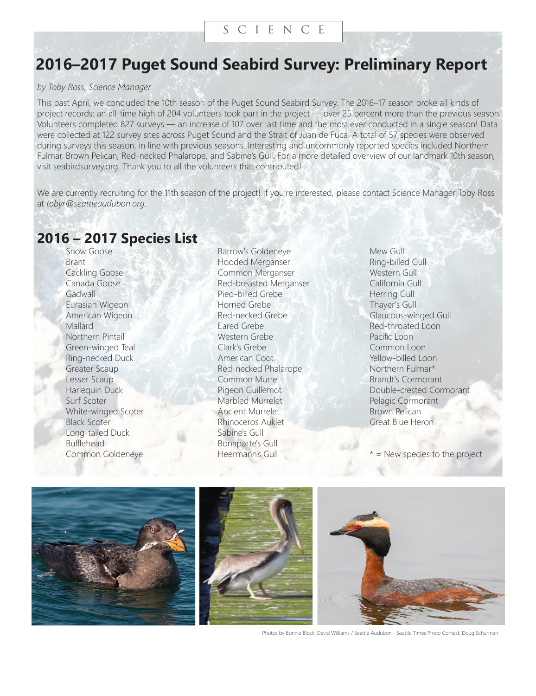#### s c i e n c e

### **2016–2017 Puget Sound Seabird Survey: Preliminary Report**

#### *by Toby Ross, Science Manager*

This past April, we concluded the 10th season of the Puget Sound Seabird Survey. The 2016–17 season broke all kinds of project records: an all-time high of 204 volunteers took part in the project — over 25 percent more than the previous season. Volunteers completed 827 surveys — an increase of 107 over last time and the most ever conducted in a single season! Data were collected at 122 survey sites across Puget Sound and the Strait of Juan de Fuca. A total of 57 species were observed during surveys this season, in line with previous seasons. Interesting and uncommonly reported species included Northern Fulmar, Brown Pelican, Red-necked Phalarope, and Sabine's Gull. For a more detailed overview of our landmark 10th season, visit seabirdsurvey.org. Thank you to all the volunteers that contributed!

We are currently recruiting for the 11th season of the project! If you're interested, please contact Science Manager Toby Ross at *tobyr@seattleaudubon.org*.

### **2016 – 2017 Species List**

Snow Goose Brant Cackling Goose Canada Goose **Gadwall** Eurasian Wigeon American Wigeon **Mallard** Northern Pintail Green-winged Teal Ring-necked Duck Greater Scaup Lesser Scaup Harlequin Duck Surf Scoter White-winged Scoter Black Scoter Long-tailed Duck Bufflehead Common Goldeneye

Barrow's Goldeneye Hooded Merganser Common Merganser Red-breasted Merganser Pied-billed Grebe Horned Grebe Red-necked Grebe Eared Grebe Western Grebe Clark's Grebe American Coot Red-necked Phalarope Common Murre Pigeon Guillemot Marbled Murrelet Ancient Murrelet Rhinoceros Auklet Sabine's Gull Bonaparte's Gull Heermann's Gull

Mew Gull Ring-billed Gull Western Gull California Gull Herring Gull Thayer's Gull Glaucous-winged Gull Red-throated Loon Pacific Loon Common Loon Yellow-billed Loon Northern Fulmar\* Brandt's Cormorant Double-crested Cormorant Pelagic Cormorant Brown Pelican Great Blue Heron

\* = New species to the project



Photos by Bonnie Block, David Williams / Seattle Audubon - Seattle Times Photo Contest, Doug Schurman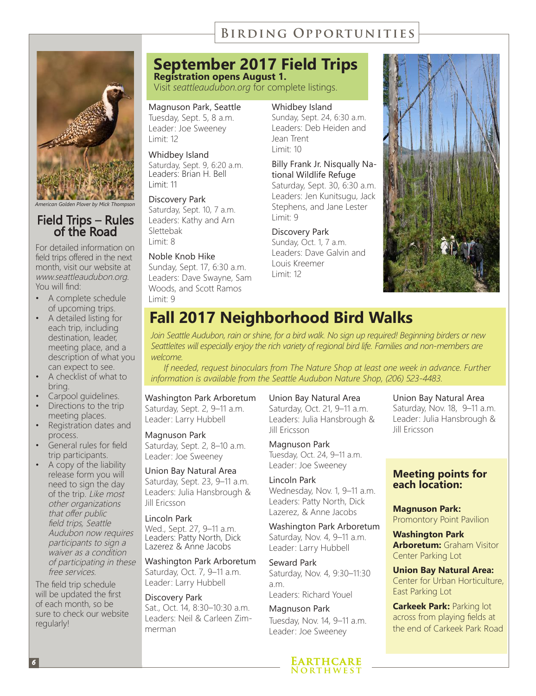### **Birding Opportunities**



# Field Trips – Rules of the Road

For detailed information on field trips offered in the next month, visit our website at www.seattleaudubon.org. You will find:

- A complete schedule of upcoming trips.
- A detailed listing for each trip, including destination, leader, meeting place, and a description of what you can expect to see.
- A checklist of what to bring.
- Carpool guidelines.
- Directions to the trip meeting places.
- Registration dates and process.
- General rules for field trip participants.
- A copy of the liability release form you will need to sign the day of the trip. Like most other organizations that offer public field trips, Seattle Audubon now requires participants to sign a waiver as a condition of participating in these free services.

The field trip schedule will be updated the first of each month, so be sure to check our website regularly!

### **September 2017 Field Trips**

**Registration opens August 1.** Visit *seattleaudubon.org* for complete listings.

Magnuson Park, Seattle Tuesday, Sept. 5, 8 a.m. Leader: Joe Sweeney Limit: 12

Whidbey Island Saturday, Sept. 9, 6:20 a.m. Leaders: Brian H. Bell Limit: 11

Discovery Park Saturday, Sept. 10, 7 a.m. Leaders: Kathy and Arn Slettebak Limit: 8

#### Noble Knob Hike

Sunday, Sept. 17, 6:30 a.m. Leaders: Dave Swayne, Sam Woods, and Scott Ramos Limit: 9

Whidbey Island

Sunday, Sept. 24, 6:30 a.m. Leaders: Deb Heiden and Jean Trent Limit: 10

Billy Frank Jr. Nisqually National Wildlife Refuge Saturday, Sept. 30, 6:30 a.m. Leaders: Jen Kunitsugu, Jack Stephens, and Jane Lester Limit: 9

Discovery Park Sunday, Oct. 1, 7 a.m. Leaders: Dave Galvin and Louis Kreemer



### **Fall 2017 Neighborhood Bird Walks**

Limit: 12

*Join Seattle Audubon, rain or shine, for a bird walk. No sign up required! Beginning birders or new Seattleites will especially enjoy the rich variety of regional bird life. Families and non-members are welcome.* 

*If needed, request binoculars from The Nature Shop at least one week in advance. Further information is available from the Seattle Audubon Nature Shop, (206) 523-4483.*

Washington Park Arboretum Saturday, Sept. 2, 9–11 a.m. Leader: Larry Hubbell

#### Magnuson Park

Saturday, Sept. 2, 8–10 a.m. Leader: Joe Sweeney

Union Bay Natural Area Saturday, Sept. 23, 9–11 a.m. Leaders: Julia Hansbrough & Jill Ericsson

Lincoln Park Wed., Sept. 27, 9–11 a.m. Leaders: Patty North, Dick Lazerez & Anne Jacobs

Washington Park Arboretum Saturday, Oct. 7, 9–11 a.m. Leader: Larry Hubbell

Discovery Park Sat., Oct. 14, 8:30–10:30 a.m. Leaders: Neil & Carleen Zimmerman

#### Union Bay Natural Area

Saturday, Oct. 21, 9–11 a.m. Leaders: Julia Hansbrough & Jill Ericsson

Magnuson Park Tuesday, Oct. 24, 9–11 a.m. Leader: Joe Sweeney

#### Lincoln Park Wednesday, Nov. 1, 9–11 a.m. Leaders: Patty North, Dick Lazerez, & Anne Jacobs

Washington Park Arboretum Saturday, Nov. 4, 9–11 a.m. Leader: Larry Hubbell

Seward Park Saturday, Nov. 4, 9:30–11:30 a.m. Leaders: Richard Youel

Magnuson Park Tuesday, Nov. 14, 9–11 a.m. Leader: Joe Sweeney



#### Union Bay Natural Area

Saturday, Nov. 18, 9–11 a.m. Leader: Julia Hansbrough & Jill Ericsson

#### **Meeting points for each location:**

**Magnuson Park:** Promontory Point Pavilion

**Washington Park Arboretum:** Graham Visitor Center Parking Lot

**Union Bay Natural Area:**  Center for Urban Horticulture, East Parking Lot

**Carkeek Park: Parking lot** across from playing fields at the end of Carkeek Park Road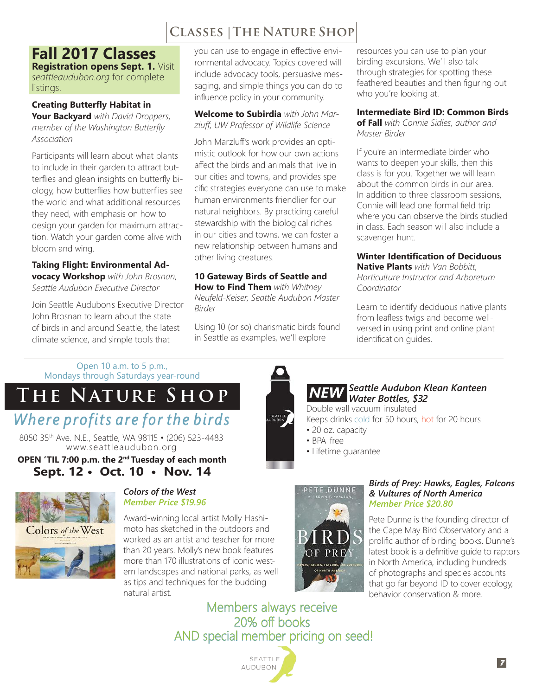### **Classes |The Nature Shop**

### **Fall 2017 Classes**

**Registration opens Sept. 1.** Visit *seattleaudubon.org* for complete listings.

#### **Creating Butterfly Habitat in**

**Your Backyard** *with David Droppers, member of the Washington Butterfly Association*

Participants will learn about what plants to include in their garden to attract butterflies and glean insights on butterfly biology, how butterflies how butterflies see the world and what additional resources they need, with emphasis on how to design your garden for maximum attraction. Watch your garden come alive with bloom and wing.

**Taking Flight: Environmental Advocacy Workshop** *with John Brosnan, Seattle Audubon Executive Director*

Join Seattle Audubon's Executive Director John Brosnan to learn about the state of birds in and around Seattle, the latest climate science, and simple tools that

you can use to engage in effective environmental advocacy. Topics covered will include advocacy tools, persuasive messaging, and simple things you can do to influence policy in your community.

#### **Welcome to Subirdia** *with John Marzluff, UW Professor of Wildlife Science*

John Marzluff's work provides an optimistic outlook for how our own actions affect the birds and animals that live in our cities and towns, and provides specific strategies everyone can use to make human environments friendlier for our natural neighbors. By practicing careful stewardship with the biological riches in our cities and towns, we can foster a new relationship between humans and other living creatures.

#### **10 Gateway Birds of Seattle and**

**How to Find Them** *with Whitney Neufeld-Keiser, Seattle Audubon Master Birder*

Using 10 (or so) charismatic birds found in Seattle as examples, we'll explore

resources you can use to plan your birding excursions. We'll also talk through strategies for spotting these feathered beauties and then figuring out who you're looking at.

#### **Intermediate Bird ID: Common Birds of Fall** *with Connie Sidles, author and Master Birder*

If you're an intermediate birder who wants to deepen your skills, then this class is for you. Together we will learn about the common birds in our area. In addition to three classroom sessions, Connie will lead one formal field trip where you can observe the birds studied in class. Each season will also include a scavenger hunt.

### **Winter Identification of Deciduous**

**Native Plants** *with Van Bobbitt, Horticulture Instructor and Arboretum Coordinator*

Learn to identify deciduous native plants from leafless twigs and become wellversed in using print and online plant identification guides.

Open 10 a.m. to 5 p.m., Mondays through Saturdays year-round

### **The Nature Shop** *Where profits are for the birds*

8050 35th Ave. N.E., Seattle, WA 98115 • (206) 523-4483 www.seattleaudubon.org

**OPEN 'TIL 7:00 p.m. the 2nd Tuesday of each month Sept. 12 • Oct. 10 • Nov. 14**





#### *Colors of the West Member Price \$19.96*

Award-winning local artist Molly Hashimoto has sketched in the outdoors and worked as an artist and teacher for more than 20 years. Molly's new book features more than 170 illustrations of iconic western landscapes and national parks, as well as tips and techniques for the budding natural artist.



## *Seattle Audubon Klean Kanteen NEW Water Bottles, \$32*

Double wall vacuum-insulated

- Keeps drinks cold for 50 hours, hot for 20 hours
- 20 oz. capacity
- BPA-free
- Lifetime guarantee



#### *Birds of Prey: Hawks, Eagles, Falcons & Vultures of North America Member Price \$20.80*

Pete Dunne is the founding director of the Cape May Bird Observatory and a prolific author of birding books. Dunne's latest book is a definitive guide to raptors in North America, including hundreds of photographs and species accounts that go far beyond ID to cover ecology, behavior conservation & more.

Members always receive 20% off books AND special member pricing on seed!